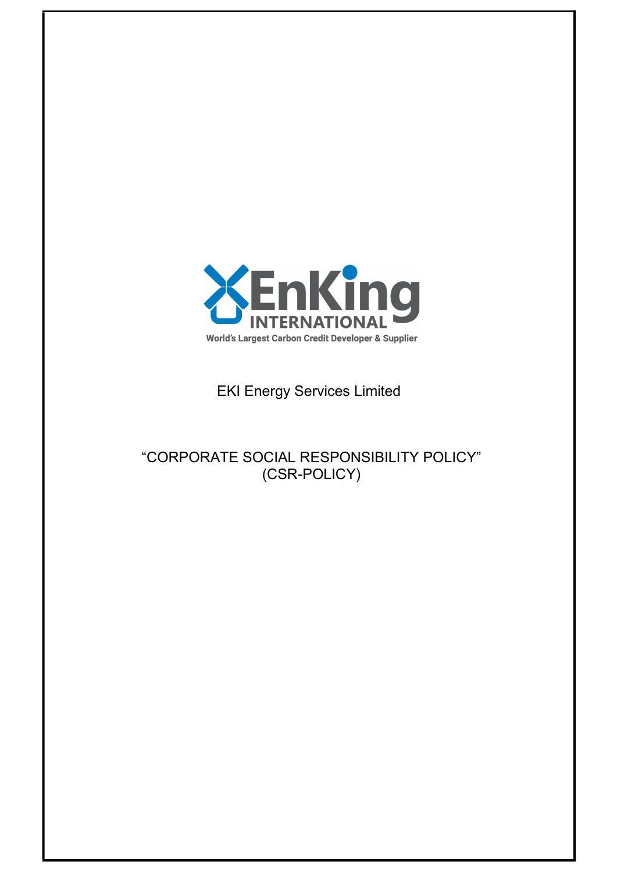

EKI Energy Services Limited

"CORPORATE SOCIAL RESPONSIBILITY POLICY" (CSR-POLICY)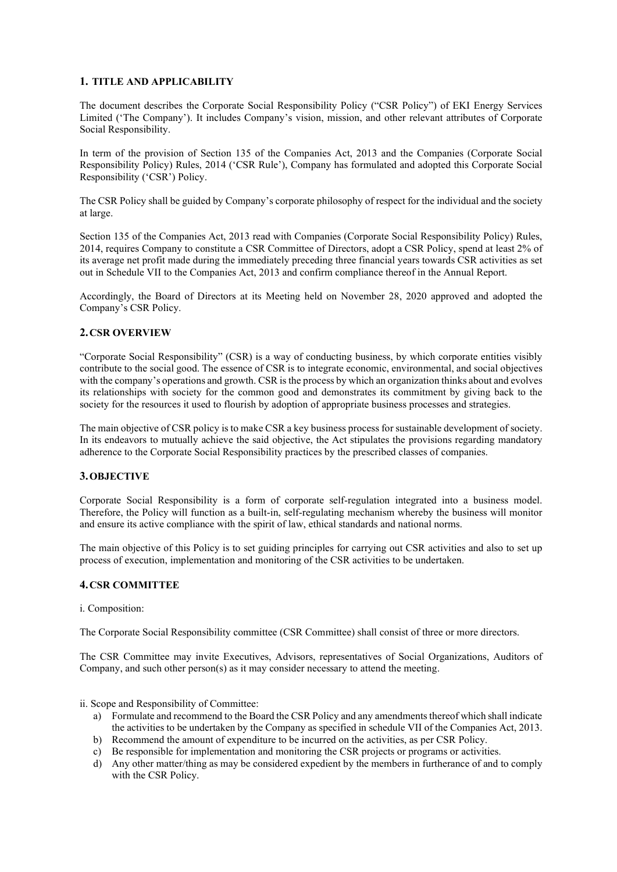### 1. TITLE AND APPLICABILITY

The document describes the Corporate Social Responsibility Policy ("CSR Policy") of EKI Energy Services Limited ('The Company'). It includes Company's vision, mission, and other relevant attributes of Corporate Social Responsibility.

In term of the provision of Section 135 of the Companies Act, 2013 and the Companies (Corporate Social Responsibility Policy) Rules, 2014 ('CSR Rule'), Company has formulated and adopted this Corporate Social Responsibility ('CSR') Policy.

The CSR Policy shall be guided by Company's corporate philosophy of respect for the individual and the society at large.

Section 135 of the Companies Act, 2013 read with Companies (Corporate Social Responsibility Policy) Rules, 2014, requires Company to constitute a CSR Committee of Directors, adopt a CSR Policy, spend at least 2% of its average net profit made during the immediately preceding three financial years towards CSR activities as set out in Schedule VII to the Companies Act, 2013 and confirm compliance thereof in the Annual Report.

Accordingly, the Board of Directors at its Meeting held on November 28, 2020 approved and adopted the Company's CSR Policy.

# 2.CSR OVERVIEW

"Corporate Social Responsibility" (CSR) is a way of conducting business, by which corporate entities visibly contribute to the social good. The essence of CSR is to integrate economic, environmental, and social objectives with the company's operations and growth. CSR is the process by which an organization thinks about and evolves its relationships with society for the common good and demonstrates its commitment by giving back to the society for the resources it used to flourish by adoption of appropriate business processes and strategies.

The main objective of CSR policy is to make CSR a key business process for sustainable development of society. In its endeavors to mutually achieve the said objective, the Act stipulates the provisions regarding mandatory adherence to the Corporate Social Responsibility practices by the prescribed classes of companies.

#### 3.OBJECTIVE

Corporate Social Responsibility is a form of corporate self-regulation integrated into a business model. Therefore, the Policy will function as a built-in, self-regulating mechanism whereby the business will monitor and ensure its active compliance with the spirit of law, ethical standards and national norms.

The main objective of this Policy is to set guiding principles for carrying out CSR activities and also to set up process of execution, implementation and monitoring of the CSR activities to be undertaken.

### 4.CSR COMMITTEE

i. Composition:

The Corporate Social Responsibility committee (CSR Committee) shall consist of three or more directors.

The CSR Committee may invite Executives, Advisors, representatives of Social Organizations, Auditors of Company, and such other person(s) as it may consider necessary to attend the meeting.

#### ii. Scope and Responsibility of Committee:

- a) Formulate and recommend to the Board the CSR Policy and any amendments thereof which shall indicate the activities to be undertaken by the Company as specified in schedule VII of the Companies Act, 2013.
- b) Recommend the amount of expenditure to be incurred on the activities, as per CSR Policy.
- c) Be responsible for implementation and monitoring the CSR projects or programs or activities.
- d) Any other matter/thing as may be considered expedient by the members in furtherance of and to comply with the CSR Policy.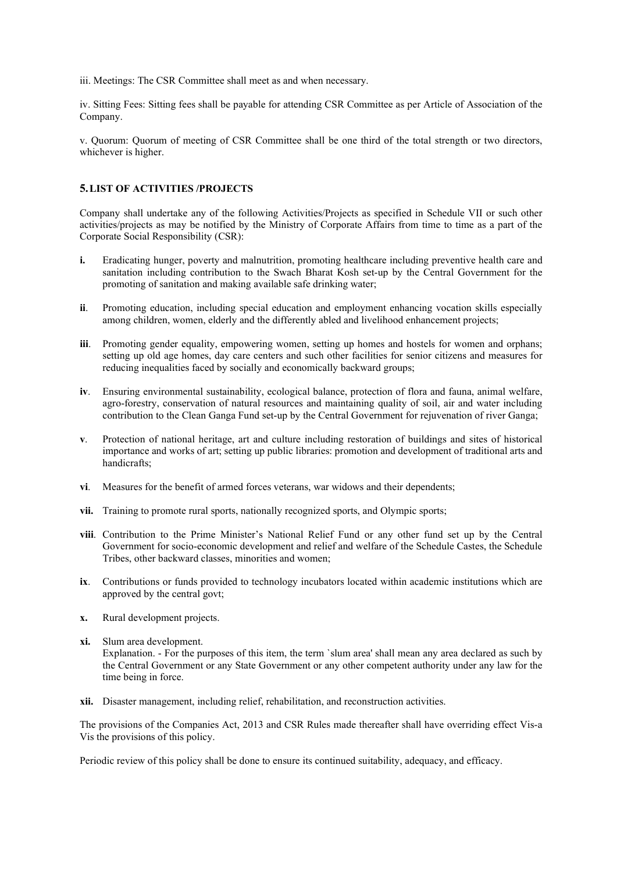iii. Meetings: The CSR Committee shall meet as and when necessary.

iv. Sitting Fees: Sitting fees shall be payable for attending CSR Committee as per Article of Association of the Company.

v. Quorum: Quorum of meeting of CSR Committee shall be one third of the total strength or two directors, whichever is higher.

## 5.LIST OF ACTIVITIES /PROJECTS

Company shall undertake any of the following Activities/Projects as specified in Schedule VII or such other activities/projects as may be notified by the Ministry of Corporate Affairs from time to time as a part of the Corporate Social Responsibility (CSR):

- i. Eradicating hunger, poverty and malnutrition, promoting healthcare including preventive health care and sanitation including contribution to the Swach Bharat Kosh set-up by the Central Government for the promoting of sanitation and making available safe drinking water;
- ii. Promoting education, including special education and employment enhancing vocation skills especially among children, women, elderly and the differently abled and livelihood enhancement projects;
- iii. Promoting gender equality, empowering women, setting up homes and hostels for women and orphans; setting up old age homes, day care centers and such other facilities for senior citizens and measures for reducing inequalities faced by socially and economically backward groups;
- iv. Ensuring environmental sustainability, ecological balance, protection of flora and fauna, animal welfare, agro-forestry, conservation of natural resources and maintaining quality of soil, air and water including contribution to the Clean Ganga Fund set-up by the Central Government for rejuvenation of river Ganga;
- v. Protection of national heritage, art and culture including restoration of buildings and sites of historical importance and works of art; setting up public libraries: promotion and development of traditional arts and handicrafts;
- vi. Measures for the benefit of armed forces veterans, war widows and their dependents;
- vii. Training to promote rural sports, nationally recognized sports, and Olympic sports;
- viii. Contribution to the Prime Minister's National Relief Fund or any other fund set up by the Central Government for socio-economic development and relief and welfare of the Schedule Castes, the Schedule Tribes, other backward classes, minorities and women;
- ix. Contributions or funds provided to technology incubators located within academic institutions which are approved by the central govt;
- x. Rural development projects.

time being in force.

- xi. Slum area development. Explanation. - For the purposes of this item, the term `slum area' shall mean any area declared as such by the Central Government or any State Government or any other competent authority under any law for the
- xii. Disaster management, including relief, rehabilitation, and reconstruction activities.

The provisions of the Companies Act, 2013 and CSR Rules made thereafter shall have overriding effect Vis-a Vis the provisions of this policy.

Periodic review of this policy shall be done to ensure its continued suitability, adequacy, and efficacy.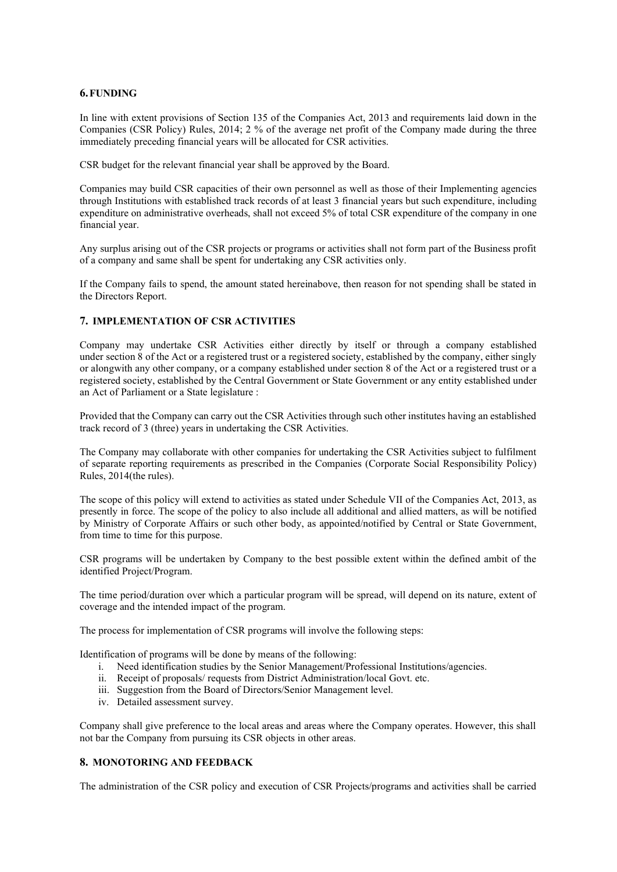## 6.FUNDING

In line with extent provisions of Section 135 of the Companies Act, 2013 and requirements laid down in the Companies (CSR Policy) Rules, 2014; 2 % of the average net profit of the Company made during the three immediately preceding financial years will be allocated for CSR activities.

CSR budget for the relevant financial year shall be approved by the Board.

Companies may build CSR capacities of their own personnel as well as those of their Implementing agencies through Institutions with established track records of at least 3 financial years but such expenditure, including expenditure on administrative overheads, shall not exceed 5% of total CSR expenditure of the company in one financial year.

Any surplus arising out of the CSR projects or programs or activities shall not form part of the Business profit of a company and same shall be spent for undertaking any CSR activities only.

If the Company fails to spend, the amount stated hereinabove, then reason for not spending shall be stated in the Directors Report.

#### 7. IMPLEMENTATION OF CSR ACTIVITIES

Company may undertake CSR Activities either directly by itself or through a company established under section 8 of the Act or a registered trust or a registered society, established by the company, either singly or alongwith any other company, or a company established under section 8 of the Act or a registered trust or a registered society, established by the Central Government or State Government or any entity established under an Act of Parliament or a State legislature :

Provided that the Company can carry out the CSR Activities through such other institutes having an established track record of 3 (three) years in undertaking the CSR Activities.

The Company may collaborate with other companies for undertaking the CSR Activities subject to fulfilment of separate reporting requirements as prescribed in the Companies (Corporate Social Responsibility Policy) Rules, 2014(the rules).

The scope of this policy will extend to activities as stated under Schedule VII of the Companies Act, 2013, as presently in force. The scope of the policy to also include all additional and allied matters, as will be notified by Ministry of Corporate Affairs or such other body, as appointed/notified by Central or State Government, from time to time for this purpose.

CSR programs will be undertaken by Company to the best possible extent within the defined ambit of the identified Project/Program.

The time period/duration over which a particular program will be spread, will depend on its nature, extent of coverage and the intended impact of the program.

The process for implementation of CSR programs will involve the following steps:

Identification of programs will be done by means of the following:

- i. Need identification studies by the Senior Management/Professional Institutions/agencies.
- ii. Receipt of proposals/ requests from District Administration/local Govt. etc.
- iii. Suggestion from the Board of Directors/Senior Management level.
- iv. Detailed assessment survey.

Company shall give preference to the local areas and areas where the Company operates. However, this shall not bar the Company from pursuing its CSR objects in other areas.

#### 8. MONOTORING AND FEEDBACK

The administration of the CSR policy and execution of CSR Projects/programs and activities shall be carried